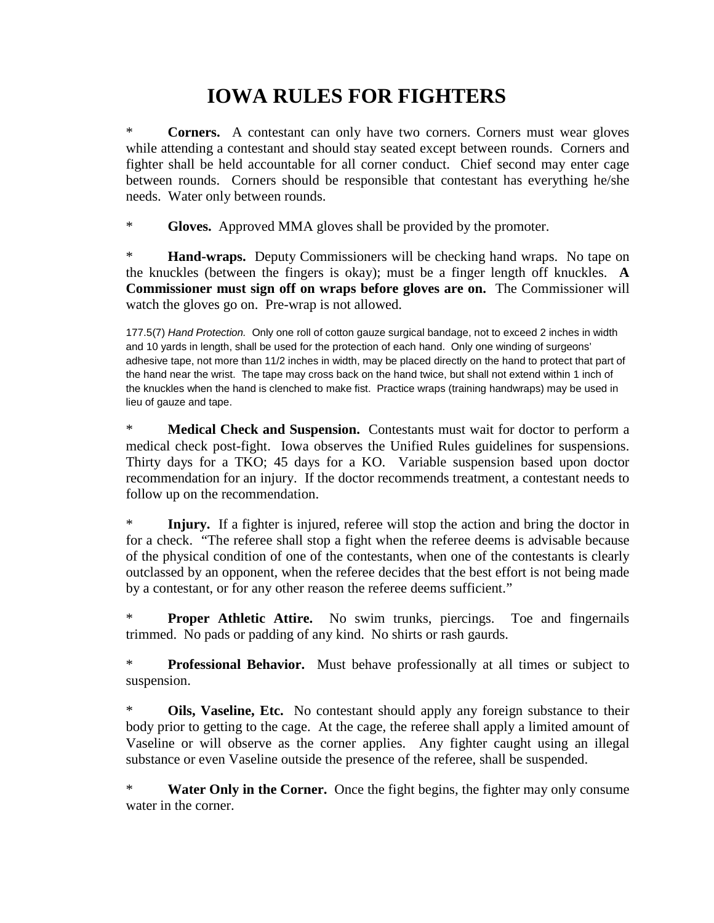## **IOWA RULES FOR FIGHTERS**

\* **Corners.** A contestant can only have two corners. Corners must wear gloves while attending a contestant and should stay seated except between rounds. Corners and fighter shall be held accountable for all corner conduct. Chief second may enter cage between rounds. Corners should be responsible that contestant has everything he/she needs. Water only between rounds.

\* **Gloves.** Approved MMA gloves shall be provided by the promoter.

\* **Hand-wraps.** Deputy Commissioners will be checking hand wraps. No tape on the knuckles (between the fingers is okay); must be a finger length off knuckles. **A Commissioner must sign off on wraps before gloves are on.** The Commissioner will watch the gloves go on. Pre-wrap is not allowed.

177.5(7) *Hand Protection.* Only one roll of cotton gauze surgical bandage, not to exceed 2 inches in width and 10 yards in length, shall be used for the protection of each hand. Only one winding of surgeons' adhesive tape, not more than 11/2 inches in width, may be placed directly on the hand to protect that part of the hand near the wrist. The tape may cross back on the hand twice, but shall not extend within 1 inch of the knuckles when the hand is clenched to make fist. Practice wraps (training handwraps) may be used in lieu of gauze and tape.

\* **Medical Check and Suspension.** Contestants must wait for doctor to perform a medical check post-fight. Iowa observes the Unified Rules guidelines for suspensions. Thirty days for a TKO; 45 days for a KO. Variable suspension based upon doctor recommendation for an injury. If the doctor recommends treatment, a contestant needs to follow up on the recommendation.

\* **Injury.** If a fighter is injured, referee will stop the action and bring the doctor in for a check. "The referee shall stop a fight when the referee deems is advisable because of the physical condition of one of the contestants, when one of the contestants is clearly outclassed by an opponent, when the referee decides that the best effort is not being made by a contestant, or for any other reason the referee deems sufficient."

\* **Proper Athletic Attire.** No swim trunks, piercings. Toe and fingernails trimmed. No pads or padding of any kind. No shirts or rash gaurds.

\* **Professional Behavior.** Must behave professionally at all times or subject to suspension.

\* **Oils, Vaseline, Etc.** No contestant should apply any foreign substance to their body prior to getting to the cage. At the cage, the referee shall apply a limited amount of Vaseline or will observe as the corner applies. Any fighter caught using an illegal substance or even Vaseline outside the presence of the referee, shall be suspended.

\* **Water Only in the Corner.** Once the fight begins, the fighter may only consume water in the corner.